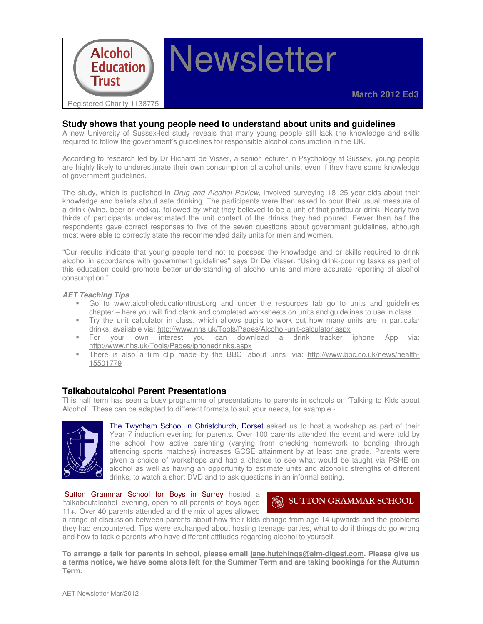

## **Study shows that young people need to understand about units and guidelines**

A new University of Sussex-led study reveals that many young people still lack the knowledge and skills required to follow the government's guidelines for responsible alcohol consumption in the UK.

According to research led by Dr Richard de Visser, a senior lecturer in Psychology at Sussex, young people are highly likely to underestimate their own consumption of alcohol units, even if they have some knowledge of government guidelines.

The study, which is published in *Drug and Alcohol Review*, involved surveying 18–25 year-olds about their knowledge and beliefs about safe drinking. The participants were then asked to pour their usual measure of a drink (wine, beer or vodka), followed by what they believed to be a unit of that particular drink. Nearly two thirds of participants underestimated the unit content of the drinks they had poured. Fewer than half the respondents gave correct responses to five of the seven questions about government guidelines, although most were able to correctly state the recommended daily units for men and women.

"Our results indicate that young people tend not to possess the knowledge and or skills required to drink alcohol in accordance with government guidelines" says Dr De Visser. "Using drink-pouring tasks as part of this education could promote better understanding of alcohol units and more accurate reporting of alcohol consumption."

#### **AET Teaching Tips**

- Go to www.alcoholeducationttrust.org and under the resources tab go to units and guidelines chapter – here you will find blank and completed worksheets on units and guidelines to use in class.
- Try the unit calculator in class, which allows pupils to work out how many units are in particular drinks, available via: http://www.nhs.uk/Tools/Pages/Alcohol-unit-calculator.aspx
- For your own interest you can download a drink tracker iphone App via: http://www.nhs.uk/Tools/Pages/iphonedrinks.aspx
- There is also a film clip made by the BBC about units via: http://www.bbc.co.uk/news/health-15501779

#### **Talkaboutalcohol Parent Presentations**

This half term has seen a busy programme of presentations to parents in schools on 'Talking to Kids about Alcohol'. These can be adapted to different formats to suit your needs, for example -



The Twynham School in Christchurch, Dorset asked us to host a workshop as part of their Year 7 induction evening for parents. Over 100 parents attended the event and were told by the school how active parenting (varying from checking homework to bonding through attending sports matches) increases GCSE attainment by at least one grade. Parents were given a choice of workshops and had a chance to see what would be taught via PSHE on alcohol as well as having an opportunity to estimate units and alcoholic strengths of different drinks, to watch a short DVD and to ask questions in an informal setting.

Sutton Grammar School for Boys in Surrey hosted a 'talkaboutalcohol' evening, open to all parents of boys aged 11+. Over 40 parents attended and the mix of ages allowed

# **SUTTON GRAMMAR SCHOOL**

a range of discussion between parents about how their kids change from age 14 upwards and the problems they had encountered. Tips were exchanged about hosting teenage parties, what to do if things do go wrong and how to tackle parents who have different attitudes regarding alcohol to yourself.

**To arrange a talk for parents in school, please email jane.hutchings@aim-digest.com. Please give us a terms notice, we have some slots left for the Summer Term and are taking bookings for the Autumn Term.**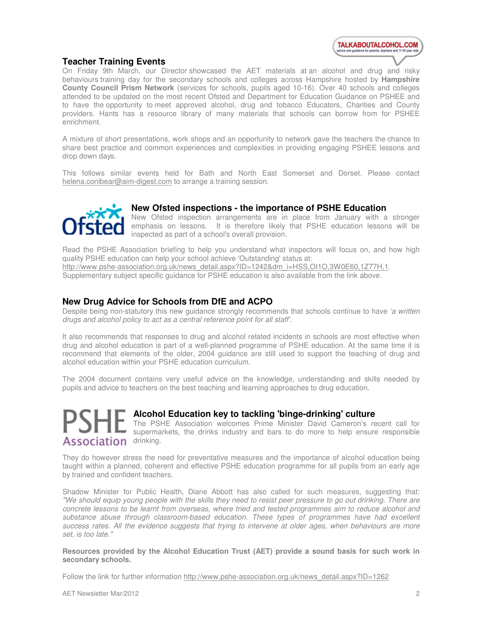

## **Teacher Training Events**

On Friday 9th March, our Director showcased the AET materials at an alcohol and drug and risky behaviours training day for the secondary schools and colleges across Hampshire hosted by **Hampshire County Council Prism Network** (services for schools, pupils aged 10-16). Over 40 schools and colleges attended to be updated on the most recent Ofsted and Department for Education Guidance on PSHEE and to have the opportunity to meet approved alcohol, drug and tobacco Educators, Charities and County providers. Hants has a resource library of many materials that schools can borrow from for PSHEE enrichment.

A mixture of short presentations, work shops and an opportunity to network gave the teachers the chance to share best practice and common experiences and complexities in providing engaging PSHEE lessons and drop down days.

This follows similar events held for Bath and North East Somerset and Dorset. Please contact helena.conibear@aim-digest.com to arrange a training session.



# **New Ofsted inspections - the importance of PSHE Education**

New Ofsted inspection arrangements are in place from January with a stronger emphasis on lessons. It is therefore likely that PSHE education lessons will be inspected as part of a school's overall provision.

Read the PSHE Association briefing to help you understand what inspectors will focus on, and how high quality PSHE education can help your school achieve 'Outstanding' status at: http://www.pshe-association.org.uk/news\_detail.aspx?ID=1242&dm\_i=HSS,OI1O,3W0E60,1Z77H,1. Supplementary subject specific guidance for PSHE education is also available from the link above.

## **New Drug Advice for Schools from DfE and ACPO**

Despite being non-statutory this new guidance strongly recommends that schools continue to have 'a written drugs and alcohol policy to act as a central reference point for all staff'.

It also recommends that responses to drug and alcohol related incidents in schools are most effective when drug and alcohol education is part of a well-planned programme of PSHE education. At the same time it is recommend that elements of the older, 2004 guidance are still used to support the teaching of drug and alcohol education within your PSHE education curriculum.

The 2004 document contains very useful advice on the knowledge, understanding and skills needed by pupils and advice to teachers on the best teaching and learning approaches to drug education.



# **Alcohol Education key to tackling 'binge-drinking' culture**

The PSHE Association welcomes Prime Minister David Cameron's recent call for supermarkets, the drinks industry and bars to do more to help ensure responsible

They do however stress the need for preventative measures and the importance of alcohol education being taught within a planned, coherent and effective PSHE education programme for all pupils from an early age by trained and confident teachers.

Shadow Minister for Public Health, Diane Abbott has also called for such measures, suggesting that: "We should equip young people with the skills they need to resist peer pressure to go out drinking. There are concrete lessons to be learnt from overseas, where tried and tested programmes aim to reduce alcohol and substance abuse through classroom-based education. These types of programmes have had excellent success rates. All the evidence suggests that trying to intervene at older ages, when behaviours are more set, is too late."

**Resources provided by the Alcohol Education Trust (AET) provide a sound basis for such work in secondary schools.** 

Follow the link for further information http://www.pshe-association.org.uk/news\_detail.aspx?ID=1262